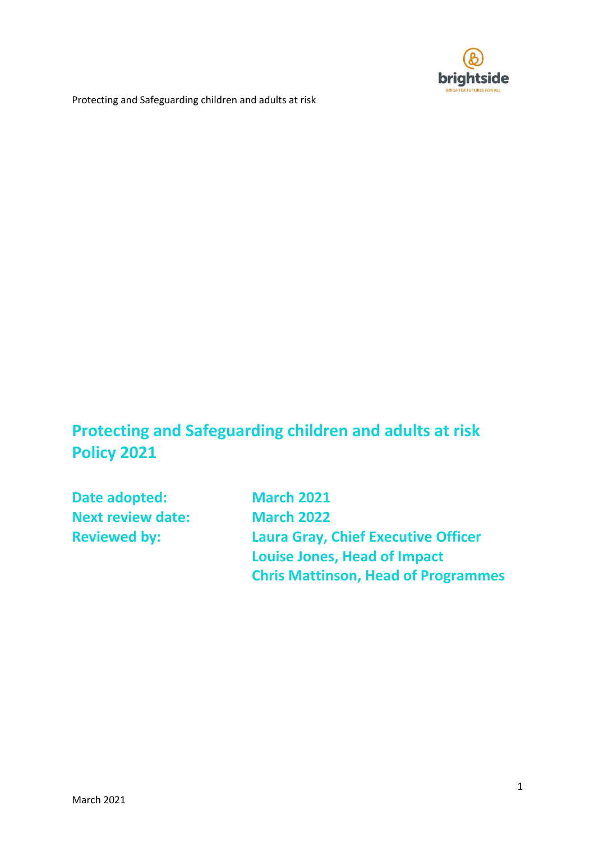

# **Protecting and Safeguarding children and adults at risk Policy 2021**

**Date adopted: March 2021 Next review date: March 2022**

**Reviewed by: Laura Gray, Chief Executive Officer Louise Jones, Head of Impact Chris Mattinson, Head of Programmes**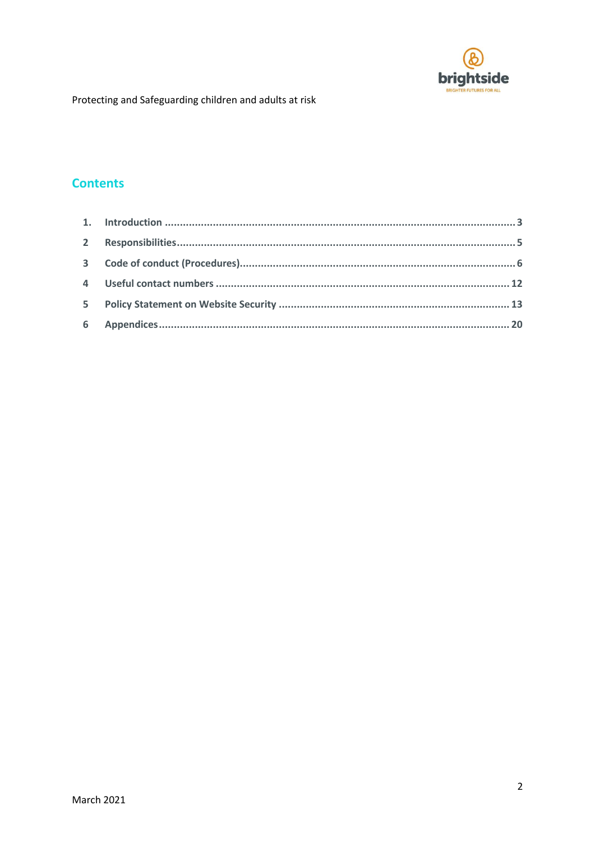

# **Contents**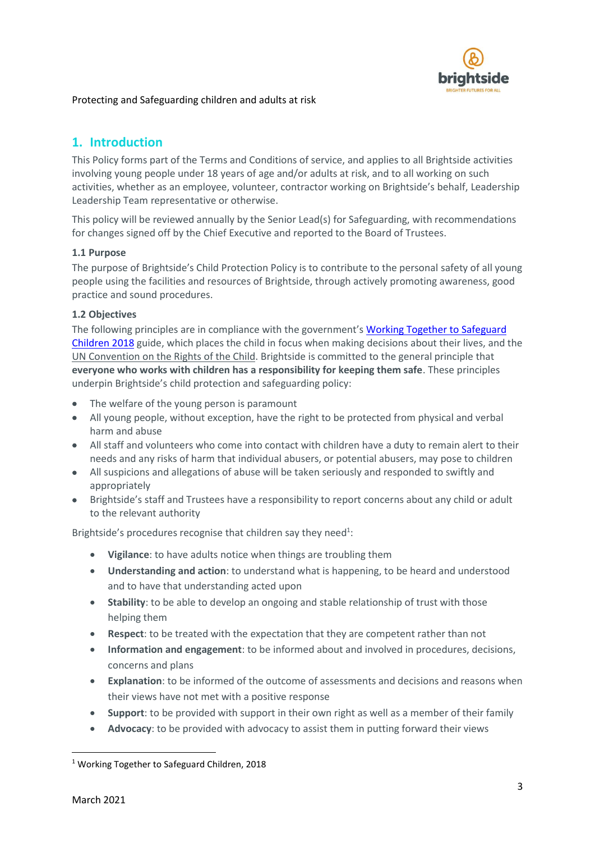

# <span id="page-2-0"></span>**1. Introduction**

This Policy forms part of the Terms and Conditions of service, and applies to all Brightside activities involving young people under 18 years of age and/or adults at risk, and to all working on such activities, whether as an employee, volunteer, contractor working on Brightside's behalf, Leadership Leadership Team representative or otherwise.

This policy will be reviewed annually by the Senior Lead(s) for Safeguarding, with recommendations for changes signed off by the Chief Executive and reported to the Board of Trustees.

## **1.1 Purpose**

The purpose of Brightside's Child Protection Policy is to contribute to the personal safety of all young people using the facilities and resources of Brightside, through actively promoting awareness, good practice and sound procedures.

#### **1.2 Objectives**

The following principles are in compliance with the government's Working Together to Safeguard [Children 2018](https://assets.publishing.service.gov.uk/government/uploads/system/uploads/attachment_data/file/729914/Working_Together_to_Safeguard_Children-2018.pdf) guide, which places the child in focus when making decisions about their lives, and the [UN Convention on the Rights of the Child.](http://353ld710iigr2n4po7k4kgvv-wpengine.netdna-ssl.com/wp-content/uploads/2010/05/UNCRC_PRESS200910web.pdf) Brightside is committed to the general principle that **everyone who works with children has a responsibility for keeping them safe**. These principles underpin Brightside's child protection and safeguarding policy:

- The welfare of the young person is paramount
- All young people, without exception, have the right to be protected from physical and verbal harm and abuse
- All staff and volunteers who come into contact with children have a duty to remain alert to their needs and any risks of harm that individual abusers, or potential abusers, may pose to children
- All suspicions and allegations of abuse will be taken seriously and responded to swiftly and appropriately
- Brightside's staff and Trustees have a responsibility to report concerns about any child or adult to the relevant authority

Brightside's procedures recognise that children say they need<sup>1</sup>:

- **Vigilance**: to have adults notice when things are troubling them
- **Understanding and action**: to understand what is happening, to be heard and understood and to have that understanding acted upon
- **Stability**: to be able to develop an ongoing and stable relationship of trust with those helping them
- **Respect**: to be treated with the expectation that they are competent rather than not
- **Information and engagement**: to be informed about and involved in procedures, decisions, concerns and plans
- **Explanation**: to be informed of the outcome of assessments and decisions and reasons when their views have not met with a positive response
- **Support**: to be provided with support in their own right as well as a member of their family
- **Advocacy**: to be provided with advocacy to assist them in putting forward their views

**.** 

<sup>&</sup>lt;sup>1</sup> Working Together to Safeguard Children, 2018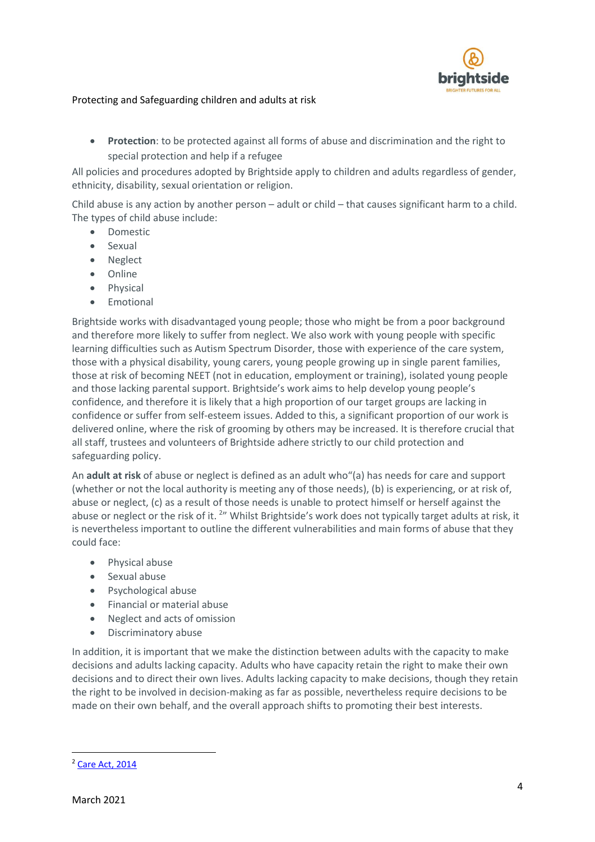

• **Protection**: to be protected against all forms of abuse and discrimination and the right to special protection and help if a refugee

All policies and procedures adopted by Brightside apply to children and adults regardless of gender, ethnicity, disability, sexual orientation or religion.

Child abuse is any action by another person – adult or child – that causes significant harm to a child. The types of child abuse include:

- Domestic
- Sexual
- Neglect
- Online
- Physical
- Emotional

Brightside works with disadvantaged young people; those who might be from a poor background and therefore more likely to suffer from neglect. We also work with young people with specific learning difficulties such as Autism Spectrum Disorder, those with experience of the care system, those with a physical disability, young carers, young people growing up in single parent families, those at risk of becoming NEET (not in education, employment or training), isolated young people and those lacking parental support. Brightside's work aims to help develop young people's confidence, and therefore it is likely that a high proportion of our target groups are lacking in confidence or suffer from self-esteem issues. Added to this, a significant proportion of our work is delivered online, where the risk of grooming by others may be increased. It is therefore crucial that all staff, trustees and volunteers of Brightside adhere strictly to our child protection and safeguarding policy.

An **adult at risk** of abuse or neglect is defined as an adult who"(a) has needs for care and support (whether or not the local authority is meeting any of those needs), (b) is experiencing, or at risk of, abuse or neglect, (c) as a result of those needs is unable to protect himself or herself against the abuse or neglect or the risk of it. <sup>2</sup>" Whilst Brightside's work does not typically target adults at risk, it is nevertheless important to outline the different vulnerabilities and main forms of abuse that they could face:

- Physical abuse
- Sexual abuse
- Psychological abuse
- Financial or material abuse
- Neglect and acts of omission
- Discriminatory abuse

In addition, it is important that we make the distinction between adults with the capacity to make decisions and adults lacking capacity. Adults who have capacity retain the right to make their own decisions and to direct their own lives. Adults lacking capacity to make decisions, though they retain the right to be involved in decision-making as far as possible, nevertheless require decisions to be made on their own behalf, and the overall approach shifts to promoting their best interests.

**.** 

<sup>2</sup> [Care Act, 2014](http://www.legislation.gov.uk/ukpga/2014/23/part/1/crossheading/safeguarding-adults-at-risk-of-abuse-or-neglect)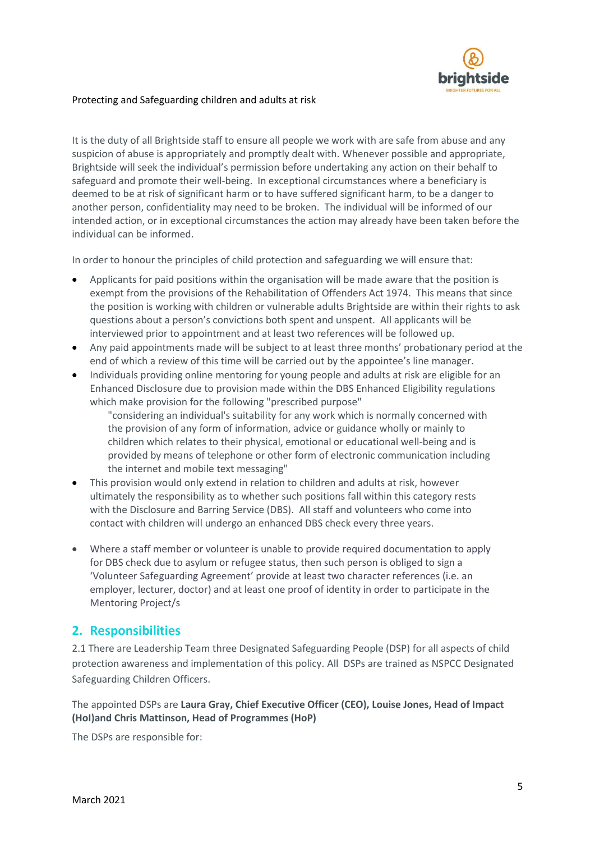

It is the duty of all Brightside staff to ensure all people we work with are safe from abuse and any suspicion of abuse is appropriately and promptly dealt with. Whenever possible and appropriate, Brightside will seek the individual's permission before undertaking any action on their behalf to safeguard and promote their well-being. In exceptional circumstances where a beneficiary is deemed to be at risk of significant harm or to have suffered significant harm, to be a danger to another person, confidentiality may need to be broken. The individual will be informed of our intended action, or in exceptional circumstances the action may already have been taken before the individual can be informed.

In order to honour the principles of child protection and safeguarding we will ensure that:

- Applicants for paid positions within the organisation will be made aware that the position is exempt from the provisions of the Rehabilitation of Offenders Act 1974. This means that since the position is working with children or vulnerable adults Brightside are within their rights to ask questions about a person's convictions both spent and unspent. All applicants will be interviewed prior to appointment and at least two references will be followed up.
- Any paid appointments made will be subject to at least three months' probationary period at the end of which a review of this time will be carried out by the appointee's line manager.
- Individuals providing online mentoring for young people and adults at risk are eligible for an Enhanced Disclosure due to provision made within the DBS Enhanced Eligibility regulations which make provision for the following "prescribed purpose"

"considering an individual's suitability for any work which is normally concerned with the provision of any form of information, advice or guidance wholly or mainly to children which relates to their physical, emotional or educational well-being and is provided by means of telephone or other form of electronic communication including the internet and mobile text messaging"

- This provision would only extend in relation to children and adults at risk, however ultimately the responsibility as to whether such positions fall within this category rests with the Disclosure and Barring Service (DBS). All staff and volunteers who come into contact with children will undergo an enhanced DBS check every three years.
- Where a staff member or volunteer is unable to provide required documentation to apply for DBS check due to asylum or refugee status, then such person is obliged to sign a 'Volunteer Safeguarding Agreement' provide at least two character references (i.e. an employer, lecturer, doctor) and at least one proof of identity in order to participate in the Mentoring Project/s

## <span id="page-4-0"></span>**2. Responsibilities**

2.1 There are Leadership Team three Designated Safeguarding People (DSP) for all aspects of child protection awareness and implementation of this policy. All DSPs are trained as NSPCC Designated Safeguarding Children Officers.

The appointed DSPs are **Laura Gray, Chief Executive Officer (CEO), Louise Jones, Head of Impact (HoI)and Chris Mattinson, Head of Programmes (HoP)**

The DSPs are responsible for: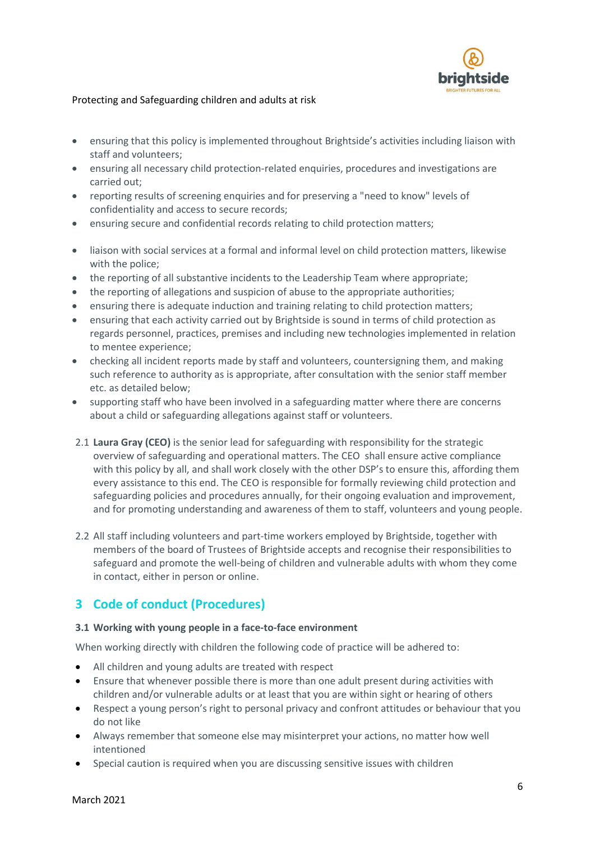

- ensuring that this policy is implemented throughout Brightside's activities including liaison with staff and volunteers;
- ensuring all necessary child protection-related enquiries, procedures and investigations are carried out;
- reporting results of screening enquiries and for preserving a "need to know" levels of confidentiality and access to secure records;
- ensuring secure and confidential records relating to child protection matters;
- liaison with social services at a formal and informal level on child protection matters, likewise with the police;
- the reporting of all substantive incidents to the Leadership Team where appropriate;
- the reporting of allegations and suspicion of abuse to the appropriate authorities;
- ensuring there is adequate induction and training relating to child protection matters;
- ensuring that each activity carried out by Brightside is sound in terms of child protection as regards personnel, practices, premises and including new technologies implemented in relation to mentee experience;
- checking all incident reports made by staff and volunteers, countersigning them, and making such reference to authority as is appropriate, after consultation with the senior staff member etc. as detailed below;
- supporting staff who have been involved in a safeguarding matter where there are concerns about a child or safeguarding allegations against staff or volunteers.
- 2.1 **Laura Gray (CEO)** is the senior lead for safeguarding with responsibility for the strategic overview of safeguarding and operational matters. The CEO shall ensure active compliance with this policy by all, and shall work closely with the other DSP's to ensure this, affording them every assistance to this end. The CEO is responsible for formally reviewing child protection and safeguarding policies and procedures annually, for their ongoing evaluation and improvement, and for promoting understanding and awareness of them to staff, volunteers and young people.
- 2.2 All staff including volunteers and part-time workers employed by Brightside, together with members of the board of Trustees of Brightside accepts and recognise their responsibilities to safeguard and promote the well-being of children and vulnerable adults with whom they come in contact, either in person or online.

## <span id="page-5-0"></span>**3 Code of conduct (Procedures)**

#### **3.1 Working with young people in a face-to-face environment**

When working directly with children the following code of practice will be adhered to:

- All children and young adults are treated with respect
- Ensure that whenever possible there is more than one adult present during activities with children and/or vulnerable adults or at least that you are within sight or hearing of others
- Respect a young person's right to personal privacy and confront attitudes or behaviour that you do not like
- Always remember that someone else may misinterpret your actions, no matter how well intentioned
- Special caution is required when you are discussing sensitive issues with children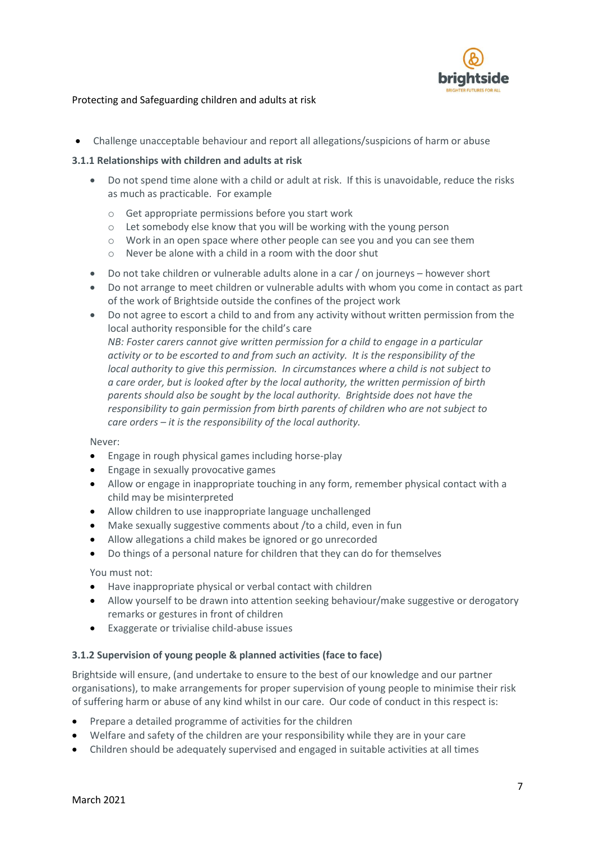

• Challenge unacceptable behaviour and report all allegations/suspicions of harm or abuse

#### **3.1.1 Relationships with children and adults at risk**

- Do not spend time alone with a child or adult at risk. If this is unavoidable, reduce the risks as much as practicable. For example
	- o Get appropriate permissions before you start work
	- o Let somebody else know that you will be working with the young person
	- o Work in an open space where other people can see you and you can see them
	- o Never be alone with a child in a room with the door shut
- Do not take children or vulnerable adults alone in a car / on journeys however short
- Do not arrange to meet children or vulnerable adults with whom you come in contact as part of the work of Brightside outside the confines of the project work
- Do not agree to escort a child to and from any activity without written permission from the local authority responsible for the child's care *NB: Foster carers cannot give written permission for a child to engage in a particular activity or to be escorted to and from such an activity. It is the responsibility of the local authority to give this permission. In circumstances where a child is not subject to a care order, but is looked after by the local authority, the written permission of birth parents should also be sought by the local authority. Brightside does not have the responsibility to gain permission from birth parents of children who are not subject to care orders – it is the responsibility of the local authority.*

Never:

- Engage in rough physical games including horse-play
- Engage in sexually provocative games
- Allow or engage in inappropriate touching in any form, remember physical contact with a child may be misinterpreted
- Allow children to use inappropriate language unchallenged
- Make sexually suggestive comments about /to a child, even in fun
- Allow allegations a child makes be ignored or go unrecorded
- Do things of a personal nature for children that they can do for themselves

You must not:

- Have inappropriate physical or verbal contact with children
- Allow yourself to be drawn into attention seeking behaviour/make suggestive or derogatory remarks or gestures in front of children
- Exaggerate or trivialise child-abuse issues

#### **3.1.2 Supervision of young people & planned activities (face to face)**

Brightside will ensure, (and undertake to ensure to the best of our knowledge and our partner organisations), to make arrangements for proper supervision of young people to minimise their risk of suffering harm or abuse of any kind whilst in our care. Our code of conduct in this respect is:

- Prepare a detailed programme of activities for the children
- Welfare and safety of the children are your responsibility while they are in your care
- Children should be adequately supervised and engaged in suitable activities at all times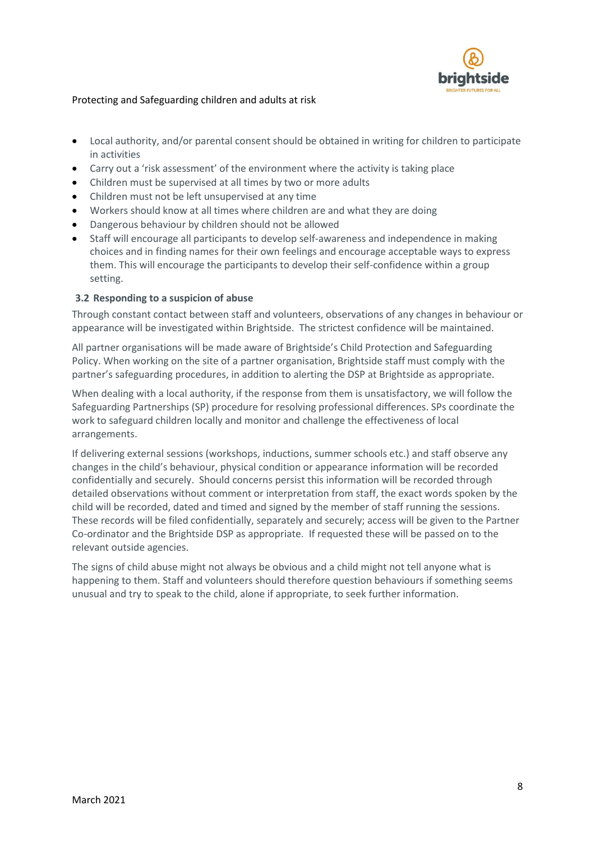

- Local authority, and/or parental consent should be obtained in writing for children to participate in activities
- Carry out a 'risk assessment' of the environment where the activity is taking place
- Children must be supervised at all times by two or more adults
- Children must not be left unsupervised at any time
- Workers should know at all times where children are and what they are doing
- Dangerous behaviour by children should not be allowed
- Staff will encourage all participants to develop self-awareness and independence in making choices and in finding names for their own feelings and encourage acceptable ways to express them. This will encourage the participants to develop their self-confidence within a group setting.

## **3.2 Responding to a suspicion of abuse**

Through constant contact between staff and volunteers, observations of any changes in behaviour or appearance will be investigated within Brightside. The strictest confidence will be maintained.

All partner organisations will be made aware of Brightside's Child Protection and Safeguarding Policy. When working on the site of a partner organisation, Brightside staff must comply with the partner's safeguarding procedures, in addition to alerting the DSP at Brightside as appropriate.

When dealing with a local authority, if the response from them is unsatisfactory, we will follow the Safeguarding Partnerships (SP) procedure for resolving professional differences. SPs coordinate the work to safeguard children locally and monitor and challenge the effectiveness of local arrangements.

If delivering external sessions (workshops, inductions, summer schools etc.) and staff observe any changes in the child's behaviour, physical condition or appearance information will be recorded confidentially and securely. Should concerns persist this information will be recorded through detailed observations without comment or interpretation from staff, the exact words spoken by the child will be recorded, dated and timed and signed by the member of staff running the sessions. These records will be filed confidentially, separately and securely; access will be given to the Partner Co-ordinator and the Brightside DSP as appropriate. If requested these will be passed on to the relevant outside agencies.

The signs of child abuse might not always be obvious and a child might not tell anyone what is happening to them. Staff and volunteers should therefore question behaviours if something seems unusual and try to speak to the child, alone if appropriate, to seek further information.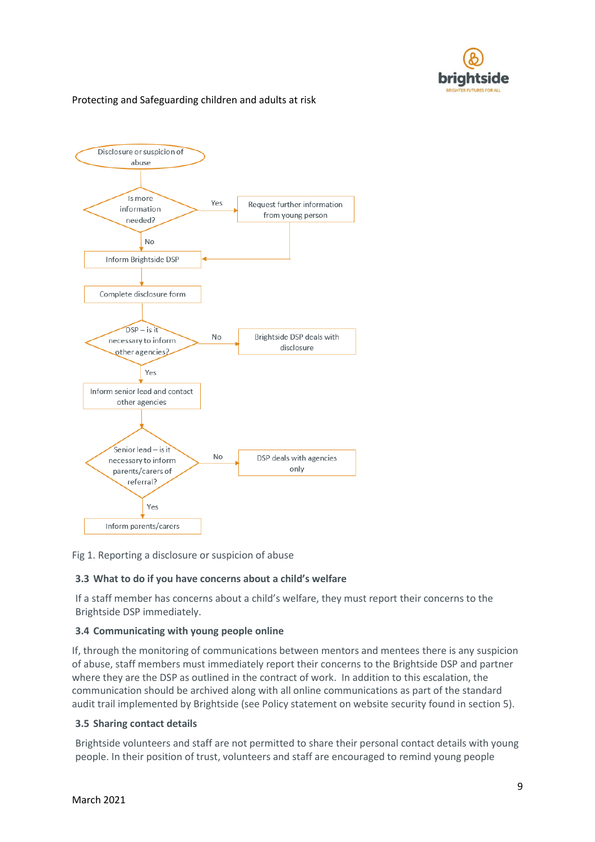



Fig 1. Reporting a disclosure or suspicion of abuse

## **3.3 What to do if you have concerns about a child's welfare**

If a staff member has concerns about a child's welfare, they must report their concerns to the Brightside DSP immediately.

## **3.4 Communicating with young people online**

If, through the monitoring of communications between mentors and mentees there is any suspicion of abuse, staff members must immediately report their concerns to the Brightside DSP and partner where they are the DSP as outlined in the contract of work. In addition to this escalation, the communication should be archived along with all online communications as part of the standard audit trail implemented by Brightside (see Policy statement on website security found in section 5).

#### **3.5 Sharing contact details**

Brightside volunteers and staff are not permitted to share their personal contact details with young people. In their position of trust, volunteers and staff are encouraged to remind young people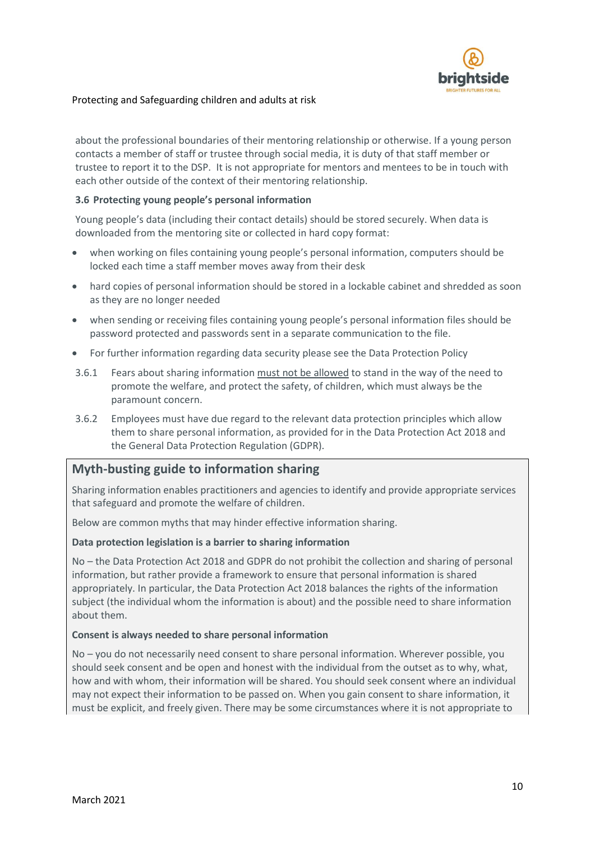

about the professional boundaries of their mentoring relationship or otherwise. If a young person contacts a member of staff or trustee through social media, it is duty of that staff member or trustee to report it to the DSP. It is not appropriate for mentors and mentees to be in touch with each other outside of the context of their mentoring relationship.

#### **3.6 Protecting young people's personal information**

Young people's data (including their contact details) should be stored securely. When data is downloaded from the mentoring site or collected in hard copy format:

- when working on files containing young people's personal information, computers should be locked each time a staff member moves away from their desk
- hard copies of personal information should be stored in a lockable cabinet and shredded as soon as they are no longer needed
- when sending or receiving files containing young people's personal information files should be password protected and passwords sent in a separate communication to the file.
- For further information regarding data security please see the Data Protection Policy
- 3.6.1 Fears about sharing information must not be allowed to stand in the way of the need to promote the welfare, and protect the safety, of children, which must always be the paramount concern.
- 3.6.2 Employees must have due regard to the relevant data protection principles which allow them to share personal information, as provided for in the Data Protection Act 2018 and the General Data Protection Regulation (GDPR).

## **Myth-busting guide to information sharing**

Sharing information enables practitioners and agencies to identify and provide appropriate services that safeguard and promote the welfare of children.

Below are common myths that may hinder effective information sharing.

#### **Data protection legislation is a barrier to sharing information**

No – the Data Protection Act 2018 and GDPR do not prohibit the collection and sharing of personal information, but rather provide a framework to ensure that personal information is shared appropriately. In particular, the Data Protection Act 2018 balances the rights of the information subject (the individual whom the information is about) and the possible need to share information about them.

#### **Consent is always needed to share personal information**

No – you do not necessarily need consent to share personal information. Wherever possible, you should seek consent and be open and honest with the individual from the outset as to why, what, how and with whom, their information will be shared. You should seek consent where an individual may not expect their information to be passed on. When you gain consent to share information, it must be explicit, and freely given. There may be some circumstances where it is not appropriate to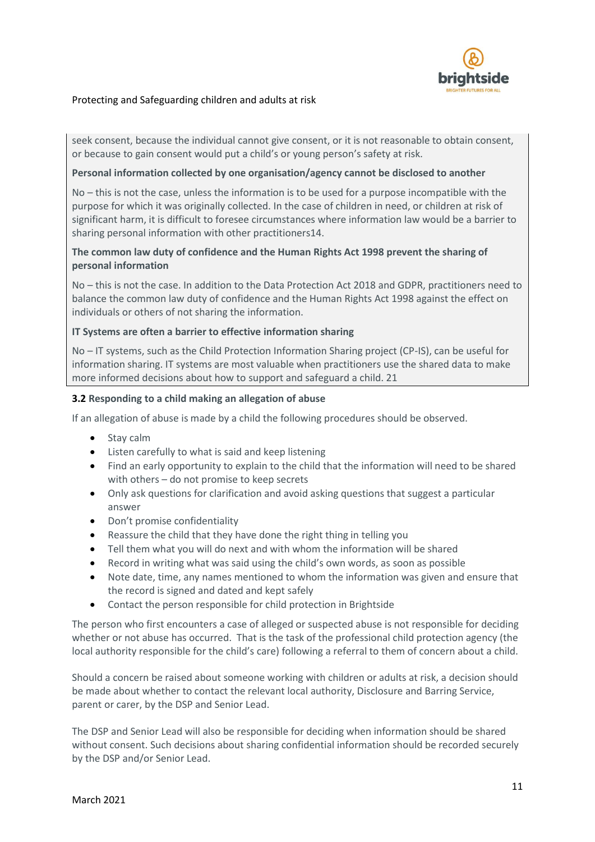

seek consent, because the individual cannot give consent, or it is not reasonable to obtain consent, or because to gain consent would put a child's or young person's safety at risk.

#### **Personal information collected by one organisation/agency cannot be disclosed to another**

No – this is not the case, unless the information is to be used for a purpose incompatible with the purpose for which it was originally collected. In the case of children in need, or children at risk of significant harm, it is difficult to foresee circumstances where information law would be a barrier to sharing personal information with other practitioners14.

#### **The common law duty of confidence and the Human Rights Act 1998 prevent the sharing of personal information**

No – this is not the case. In addition to the Data Protection Act 2018 and GDPR, practitioners need to balance the common law duty of confidence and the Human Rights Act 1998 against the effect on individuals or others of not sharing the information.

#### **IT Systems are often a barrier to effective information sharing**

No – IT systems, such as the Child Protection Information Sharing project (CP-IS), can be useful for information sharing. IT systems are most valuable when practitioners use the shared data to make more informed decisions about how to support and safeguard a child. 21

#### **3.2 Responding to a child making an allegation of abuse**

If an allegation of abuse is made by a child the following procedures should be observed.

- Stay calm
- Listen carefully to what is said and keep listening
- Find an early opportunity to explain to the child that the information will need to be shared with others – do not promise to keep secrets
- Only ask questions for clarification and avoid asking questions that suggest a particular answer
- Don't promise confidentiality
- Reassure the child that they have done the right thing in telling you
- Tell them what you will do next and with whom the information will be shared
- Record in writing what was said using the child's own words, as soon as possible
- Note date, time, any names mentioned to whom the information was given and ensure that the record is signed and dated and kept safely
- Contact the person responsible for child protection in Brightside

The person who first encounters a case of alleged or suspected abuse is not responsible for deciding whether or not abuse has occurred. That is the task of the professional child protection agency (the local authority responsible for the child's care) following a referral to them of concern about a child.

Should a concern be raised about someone working with children or adults at risk, a decision should be made about whether to contact the relevant local authority, Disclosure and Barring Service, parent or carer, by the DSP and Senior Lead.

The DSP and Senior Lead will also be responsible for deciding when information should be shared without consent. Such decisions about sharing confidential information should be recorded securely by the DSP and/or Senior Lead.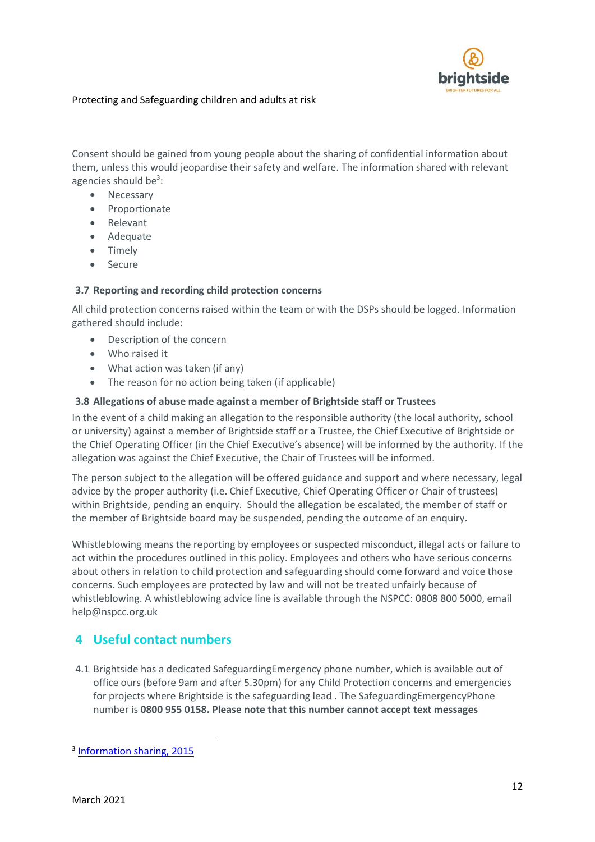

Consent should be gained from young people about the sharing of confidential information about them, unless this would jeopardise their safety and welfare. The information shared with relevant agencies should be<sup>3</sup>:

- Necessary
- Proportionate
- Relevant
- Adequate
- Timely
- Secure

#### **3.7 Reporting and recording child protection concerns**

All child protection concerns raised within the team or with the DSPs should be logged. Information gathered should include:

- Description of the concern
- Who raised it
- What action was taken (if any)
- The reason for no action being taken (if applicable)

## **3.8 Allegations of abuse made against a member of Brightside staff or Trustees**

In the event of a child making an allegation to the responsible authority (the local authority, school or university) against a member of Brightside staff or a Trustee, the Chief Executive of Brightside or the Chief Operating Officer (in the Chief Executive's absence) will be informed by the authority. If the allegation was against the Chief Executive, the Chair of Trustees will be informed.

The person subject to the allegation will be offered guidance and support and where necessary, legal advice by the proper authority (i.e. Chief Executive, Chief Operating Officer or Chair of trustees) within Brightside, pending an enquiry. Should the allegation be escalated, the member of staff or the member of Brightside board may be suspended, pending the outcome of an enquiry.

Whistleblowing means the reporting by employees or suspected misconduct, illegal acts or failure to act within the procedures outlined in this policy. Employees and others who have serious concerns about others in relation to child protection and safeguarding should come forward and voice those concerns. Such employees are protected by law and will not be treated unfairly because of whistleblowing. A whistleblowing advice line is available through the NSPCC: 0808 800 5000, email help@nspcc.org.uk

# <span id="page-11-0"></span>**4 Useful contact numbers**

4.1 Brightside has a dedicated SafeguardingEmergency phone number, which is available out of office ours (before 9am and after 5.30pm) for any Child Protection concerns and emergencies for projects where Brightside is the safeguarding lead . The SafeguardingEmergencyPhone number is **0800 955 0158. Please note that this number cannot accept text messages**

1

<sup>&</sup>lt;sup>3</sup> [Information sharing, 2015](https://www.gov.uk/government/publications/safeguarding-practitioners-information-sharing-advice)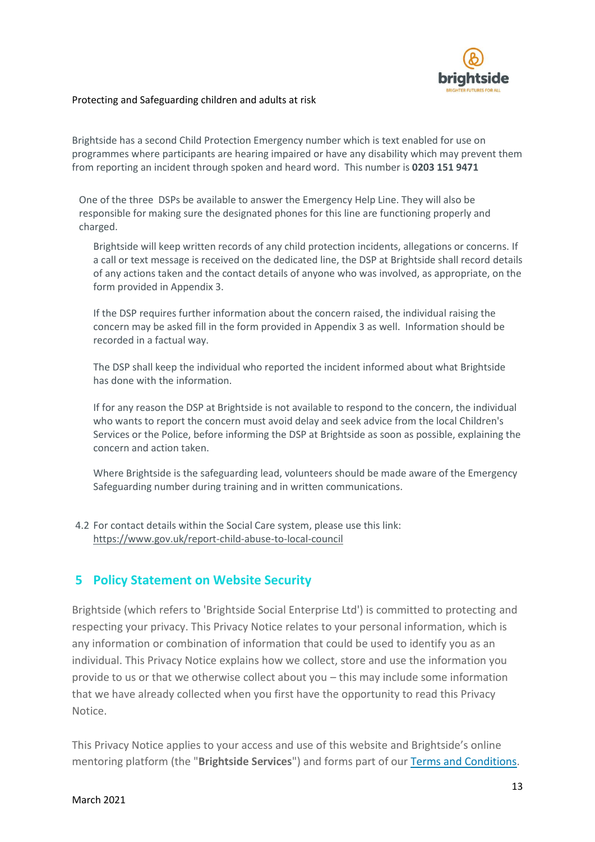

Brightside has a second Child Protection Emergency number which is text enabled for use on programmes where participants are hearing impaired or have any disability which may prevent them from reporting an incident through spoken and heard word. This number is **0203 151 9471**

One of the three DSPs be available to answer the Emergency Help Line. They will also be responsible for making sure the designated phones for this line are functioning properly and charged.

Brightside will keep written records of any child protection incidents, allegations or concerns. If a call or text message is received on the dedicated line, the DSP at Brightside shall record details of any actions taken and the contact details of anyone who was involved, as appropriate, on the form provided in Appendix 3.

If the DSP requires further information about the concern raised, the individual raising the concern may be asked fill in the form provided in Appendix 3 as well. Information should be recorded in a factual way.

The DSP shall keep the individual who reported the incident informed about what Brightside has done with the information.

If for any reason the DSP at Brightside is not available to respond to the concern, the individual who wants to report the concern must avoid delay and seek advice from the local Children's Services or the Police, before informing the DSP at Brightside as soon as possible, explaining the concern and action taken.

Where Brightside is the safeguarding lead, volunteers should be made aware of the Emergency Safeguarding number during training and in written communications.

4.2 For contact details within the Social Care system, please use this link: <https://www.gov.uk/report-child-abuse-to-local-council>

## <span id="page-12-0"></span>**5 Policy Statement on Website Security**

Brightside (which refers to 'Brightside Social Enterprise Ltd') is committed to protecting and respecting your privacy. This Privacy Notice relates to your personal information, which is any information or combination of information that could be used to identify you as an individual. This Privacy Notice explains how we collect, store and use the information you provide to us or that we otherwise collect about you – this may include some information that we have already collected when you first have the opportunity to read this Privacy Notice.

This Privacy Notice applies to your access and use of this website and Brightside's online mentoring platform (the "**Brightside Services**") and forms part of our [Terms and Conditions.](https://brightsidementoring.org/terms)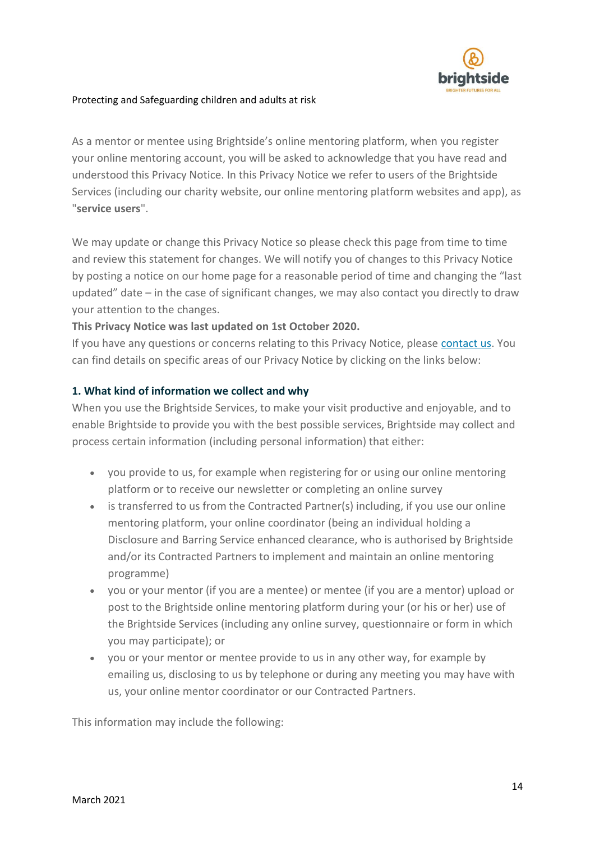

As a mentor or mentee using Brightside's online mentoring platform, when you register your online mentoring account, you will be asked to acknowledge that you have read and understood this Privacy Notice. In this Privacy Notice we refer to users of the Brightside Services (including our charity website, our online mentoring platform websites and app), as "**service users**".

We may update or change this Privacy Notice so please check this page from time to time and review this statement for changes. We will notify you of changes to this Privacy Notice by posting a notice on our home page for a reasonable period of time and changing the "last updated" date – in the case of significant changes, we may also contact you directly to draw your attention to the changes.

## **This Privacy Notice was last updated on 1st October 2020.**

If you have any questions or concerns relating to this Privacy Notice, please [contact us.](https://brightsidementoring.org/privacy#contactus) You can find details on specific areas of our Privacy Notice by clicking on the links below:

## **1. What kind of information we collect and why**

When you use the Brightside Services, to make your visit productive and enjoyable, and to enable Brightside to provide you with the best possible services, Brightside may collect and process certain information (including personal information) that either:

- you provide to us, for example when registering for or using our online mentoring platform or to receive our newsletter or completing an online survey
- is transferred to us from the Contracted Partner(s) including, if you use our online mentoring platform, your online coordinator (being an individual holding a Disclosure and Barring Service enhanced clearance, who is authorised by Brightside and/or its Contracted Partners to implement and maintain an online mentoring programme)
- you or your mentor (if you are a mentee) or mentee (if you are a mentor) upload or post to the Brightside online mentoring platform during your (or his or her) use of the Brightside Services (including any online survey, questionnaire or form in which you may participate); or
- you or your mentor or mentee provide to us in any other way, for example by emailing us, disclosing to us by telephone or during any meeting you may have with us, your online mentor coordinator or our Contracted Partners.

This information may include the following: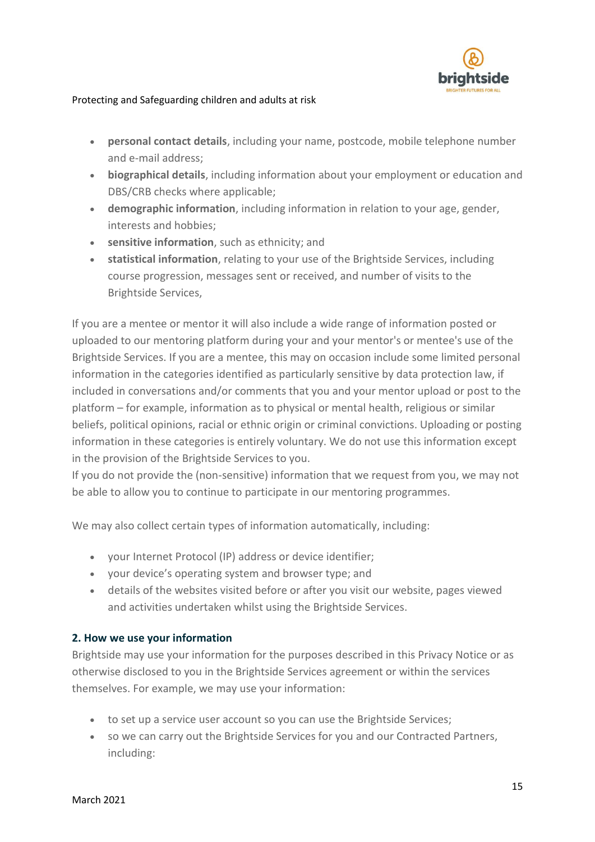

- **personal contact details**, including your name, postcode, mobile telephone number and e-mail address;
- **biographical details**, including information about your employment or education and DBS/CRB checks where applicable;
- **demographic information**, including information in relation to your age, gender, interests and hobbies;
- **sensitive information**, such as ethnicity; and
- **statistical information**, relating to your use of the Brightside Services, including course progression, messages sent or received, and number of visits to the Brightside Services,

If you are a mentee or mentor it will also include a wide range of information posted or uploaded to our mentoring platform during your and your mentor's or mentee's use of the Brightside Services. If you are a mentee, this may on occasion include some limited personal information in the categories identified as particularly sensitive by data protection law, if included in conversations and/or comments that you and your mentor upload or post to the platform – for example, information as to physical or mental health, religious or similar beliefs, political opinions, racial or ethnic origin or criminal convictions. Uploading or posting information in these categories is entirely voluntary. We do not use this information except in the provision of the Brightside Services to you.

If you do not provide the (non-sensitive) information that we request from you, we may not be able to allow you to continue to participate in our mentoring programmes.

We may also collect certain types of information automatically, including:

- your Internet Protocol (IP) address or device identifier;
- your device's operating system and browser type; and
- details of the websites visited before or after you visit our website, pages viewed and activities undertaken whilst using the Brightside Services.

## **2. How we use your information**

Brightside may use your information for the purposes described in this Privacy Notice or as otherwise disclosed to you in the Brightside Services agreement or within the services themselves. For example, we may use your information:

- to set up a service user account so you can use the Brightside Services;
- so we can carry out the Brightside Services for you and our Contracted Partners, including: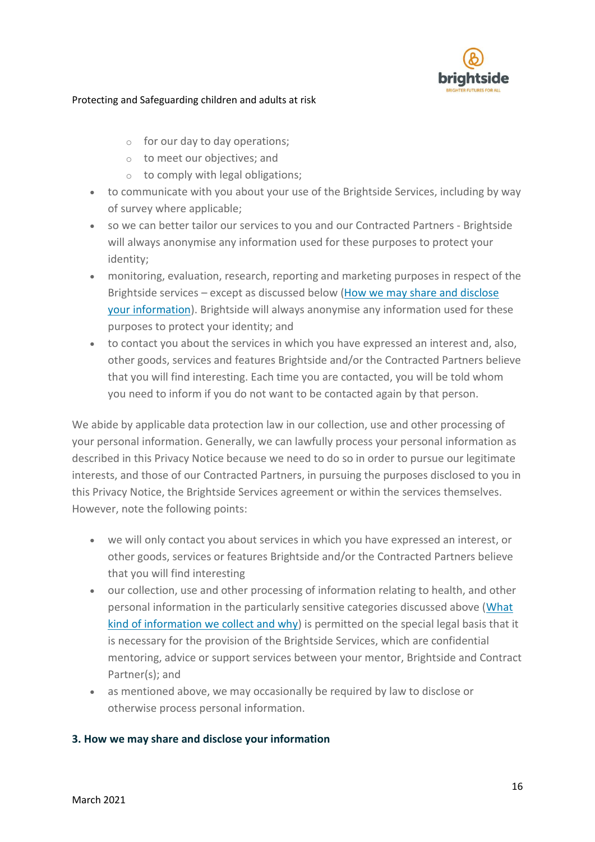

- $\circ$  for our day to day operations;
- o to meet our objectives; and
- $\circ$  to comply with legal obligations;
- to communicate with you about your use of the Brightside Services, including by way of survey where applicable;
- so we can better tailor our services to you and our Contracted Partners Brightside will always anonymise any information used for these purposes to protect your identity;
- monitoring, evaluation, research, reporting and marketing purposes in respect of the Brightside services – except as discussed below [\(How we may share and disclose](https://brightsidementoring.org/privacy#share)  [your information\)](https://brightsidementoring.org/privacy#share). Brightside will always anonymise any information used for these purposes to protect your identity; and
- to contact you about the services in which you have expressed an interest and, also, other goods, services and features Brightside and/or the Contracted Partners believe that you will find interesting. Each time you are contacted, you will be told whom you need to inform if you do not want to be contacted again by that person.

We abide by applicable data protection law in our collection, use and other processing of your personal information. Generally, we can lawfully process your personal information as described in this Privacy Notice because we need to do so in order to pursue our legitimate interests, and those of our Contracted Partners, in pursuing the purposes disclosed to you in this Privacy Notice, the Brightside Services agreement or within the services themselves. However, note the following points:

- we will only contact you about services in which you have expressed an interest, or other goods, services or features Brightside and/or the Contracted Partners believe that you will find interesting
- our collection, use and other processing of information relating to health, and other personal information in the particularly sensitive categories discussed above [\(What](https://brightsidementoring.org/privacy#collect)  [kind of information we collect and why\)](https://brightsidementoring.org/privacy#collect) is permitted on the special legal basis that it is necessary for the provision of the Brightside Services, which are confidential mentoring, advice or support services between your mentor, Brightside and Contract Partner(s); and
- as mentioned above, we may occasionally be required by law to disclose or otherwise process personal information.

## **3. How we may share and disclose your information**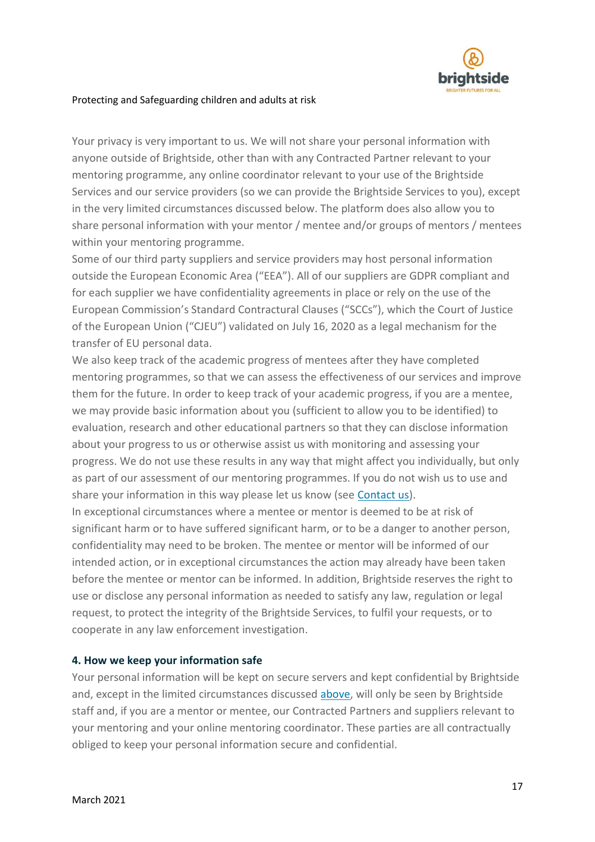

Your privacy is very important to us. We will not share your personal information with anyone outside of Brightside, other than with any Contracted Partner relevant to your mentoring programme, any online coordinator relevant to your use of the Brightside Services and our service providers (so we can provide the Brightside Services to you), except in the very limited circumstances discussed below. The platform does also allow you to share personal information with your mentor / mentee and/or groups of mentors / mentees within your mentoring programme.

Some of our third party suppliers and service providers may host personal information outside the European Economic Area ("EEA"). All of our suppliers are GDPR compliant and for each supplier we have confidentiality agreements in place or rely on the use of the European Commission's Standard Contractural Clauses ("SCCs"), which the Court of Justice of the European Union ("CJEU") validated on July 16, 2020 as a legal mechanism for the transfer of EU personal data.

We also keep track of the academic progress of mentees after they have completed mentoring programmes, so that we can assess the effectiveness of our services and improve them for the future. In order to keep track of your academic progress, if you are a mentee, we may provide basic information about you (sufficient to allow you to be identified) to evaluation, research and other educational partners so that they can disclose information about your progress to us or otherwise assist us with monitoring and assessing your progress. We do not use these results in any way that might affect you individually, but only as part of our assessment of our mentoring programmes. If you do not wish us to use and share your information in this way please let us know (see [Contact us\)](https://brightsidementoring.org/privacy#contactus).

In exceptional circumstances where a mentee or mentor is deemed to be at risk of significant harm or to have suffered significant harm, or to be a danger to another person, confidentiality may need to be broken. The mentee or mentor will be informed of our intended action, or in exceptional circumstances the action may already have been taken before the mentee or mentor can be informed. In addition, Brightside reserves the right to use or disclose any personal information as needed to satisfy any law, regulation or legal request, to protect the integrity of the Brightside Services, to fulfil your requests, or to cooperate in any law enforcement investigation.

## **4. How we keep your information safe**

Your personal information will be kept on secure servers and kept confidential by Brightside and, except in the limited circumstances discussed [above,](https://brightsidementoring.org/privacy#share) will only be seen by Brightside staff and, if you are a mentor or mentee, our Contracted Partners and suppliers relevant to your mentoring and your online mentoring coordinator. These parties are all contractually obliged to keep your personal information secure and confidential.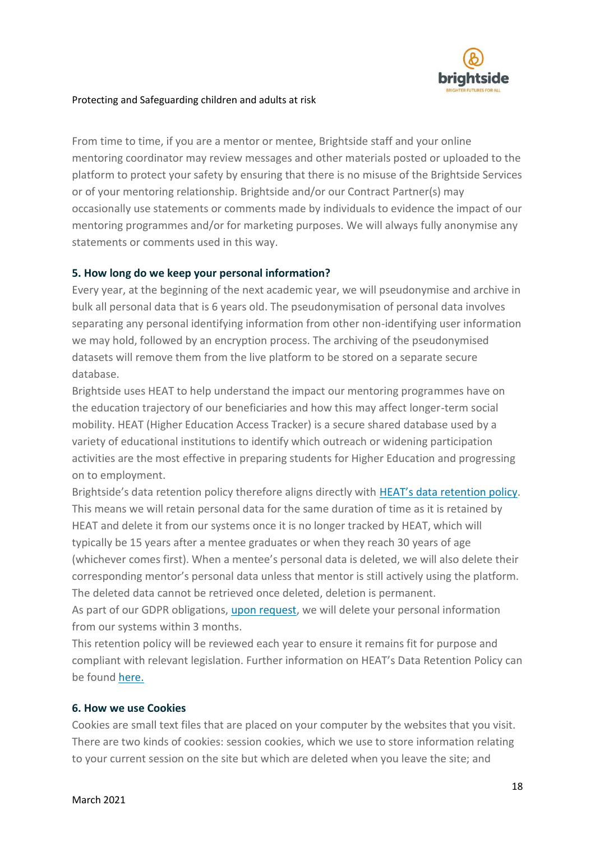

From time to time, if you are a mentor or mentee, Brightside staff and your online mentoring coordinator may review messages and other materials posted or uploaded to the platform to protect your safety by ensuring that there is no misuse of the Brightside Services or of your mentoring relationship. Brightside and/or our Contract Partner(s) may occasionally use statements or comments made by individuals to evidence the impact of our mentoring programmes and/or for marketing purposes. We will always fully anonymise any statements or comments used in this way.

## **5. How long do we keep your personal information?**

Every year, at the beginning of the next academic year, we will pseudonymise and archive in bulk all personal data that is 6 years old. The pseudonymisation of personal data involves separating any personal identifying information from other non-identifying user information we may hold, followed by an encryption process. The archiving of the pseudonymised datasets will remove them from the live platform to be stored on a separate secure database.

Brightside uses HEAT to help understand the impact our mentoring programmes have on the education trajectory of our beneficiaries and how this may affect longer-term social mobility. HEAT (Higher Education Access Tracker) is a secure shared database used by a variety of educational institutions to identify which outreach or widening participation activities are the most effective in preparing students for Higher Education and progressing on to employment.

Brightside's data retention policy therefore aligns directly with [HEAT's data retention policy](https://heat.ac.uk/data-privacy-participants/). This means we will retain personal data for the same duration of time as it is retained by HEAT and delete it from our systems once it is no longer tracked by HEAT, which will typically be 15 years after a mentee graduates or when they reach 30 years of age (whichever comes first). When a mentee's personal data is deleted, we will also delete their corresponding mentor's personal data unless that mentor is still actively using the platform. The deleted data cannot be retrieved once deleted, deletion is permanent.

As part of our GDPR obligations, [upon request,](https://brightsidementoring.org/privacy#contactus) we will delete your personal information from our systems within 3 months.

This retention policy will be reviewed each year to ensure it remains fit for purpose and compliant with relevant legislation. Further information on HEAT's Data Retention Policy can be found [here.](https://heat.ac.uk/data-privacy-participants/)

## **6. How we use Cookies**

Cookies are small text files that are placed on your computer by the websites that you visit. There are two kinds of cookies: session cookies, which we use to store information relating to your current session on the site but which are deleted when you leave the site; and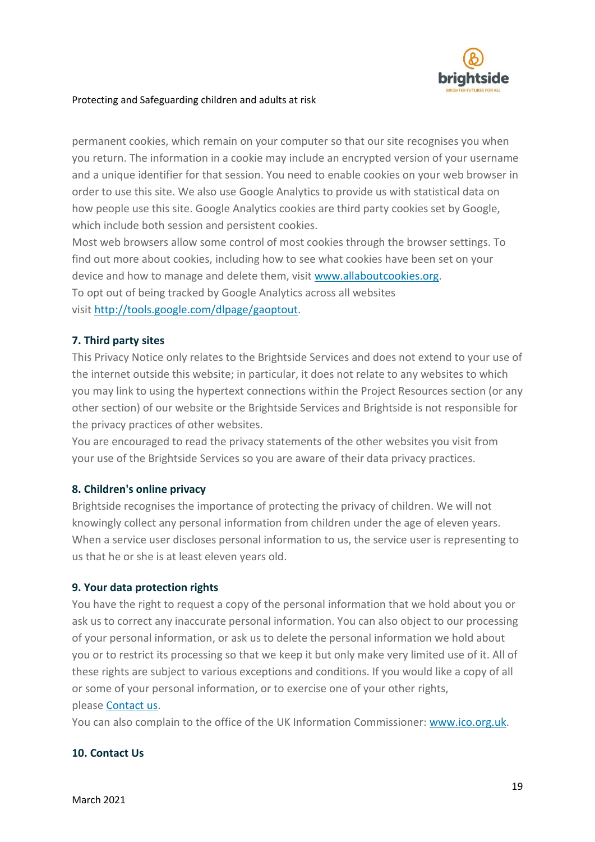

permanent cookies, which remain on your computer so that our site recognises you when you return. The information in a cookie may include an encrypted version of your username and a unique identifier for that session. You need to enable cookies on your web browser in order to use this site. We also use Google Analytics to provide us with statistical data on how people use this site. Google Analytics cookies are third party cookies set by Google, which include both session and persistent cookies.

Most web browsers allow some control of most cookies through the browser settings. To find out more about cookies, including how to see what cookies have been set on your device and how to manage and delete them, visit [www.allaboutcookies.org.](http://www.allaboutcookies.org/) To opt out of being tracked by Google Analytics across all websites visit [http://tools.google.com/dlpage/gaoptout.](http://tools.google.com/dlpage/gaoptout)

## **7. Third party sites**

This Privacy Notice only relates to the Brightside Services and does not extend to your use of the internet outside this website; in particular, it does not relate to any websites to which you may link to using the hypertext connections within the Project Resources section (or any other section) of our website or the Brightside Services and Brightside is not responsible for the privacy practices of other websites.

You are encouraged to read the privacy statements of the other websites you visit from your use of the Brightside Services so you are aware of their data privacy practices.

## **8. Children's online privacy**

Brightside recognises the importance of protecting the privacy of children. We will not knowingly collect any personal information from children under the age of eleven years. When a service user discloses personal information to us, the service user is representing to us that he or she is at least eleven years old.

## **9. Your data protection rights**

You have the right to request a copy of the personal information that we hold about you or ask us to correct any inaccurate personal information. You can also object to our processing of your personal information, or ask us to delete the personal information we hold about you or to restrict its processing so that we keep it but only make very limited use of it. All of these rights are subject to various exceptions and conditions. If you would like a copy of all or some of your personal information, or to exercise one of your other rights, please [Contact us.](https://brightsidementoring.org/privacy#contactus)

You can also complain to the office of the UK Information Commissioner: [www.ico.org.uk.](https://www.ico.org.uk/)

## **10. Contact Us**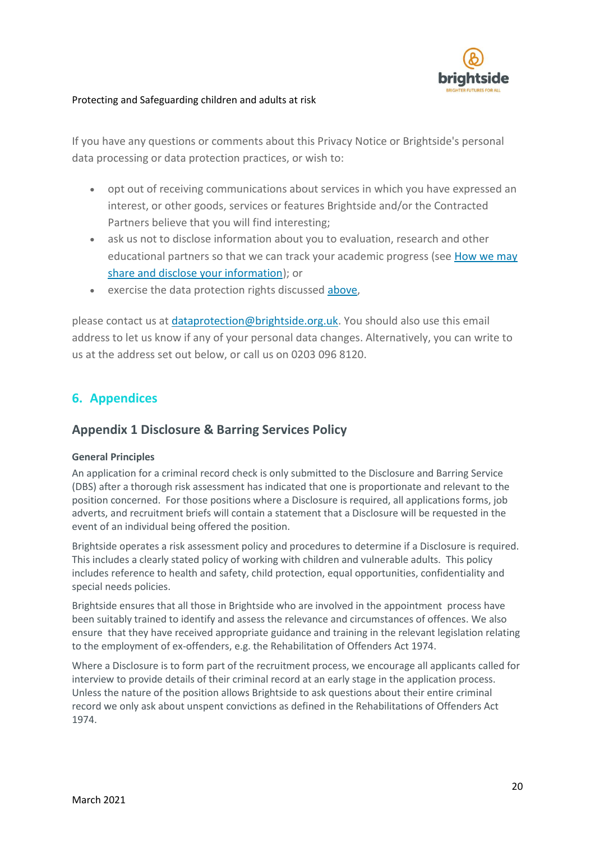

If you have any questions or comments about this Privacy Notice or Brightside's personal data processing or data protection practices, or wish to:

- opt out of receiving communications about services in which you have expressed an interest, or other goods, services or features Brightside and/or the Contracted Partners believe that you will find interesting;
- ask us not to disclose information about you to evaluation, research and other educational partners so that we can track your academic progress (see [How we may](https://brightsidementoring.org/privacy#share)  [share and disclose your information\)](https://brightsidementoring.org/privacy#share); or
- exercise the data protection rights discussed [above,](https://brightsidementoring.org/privacy#corrections)

please contact us at [dataprotection@brightside.org.uk.](mailto:dataprotection@brightside.org.uk) You should also use this email address to let us know if any of your personal data changes. Alternatively, you can write to us at the address set out below, or call us on 0203 096 8120.

# <span id="page-19-0"></span>**6. Appendices**

# **Appendix 1 Disclosure & Barring Services Policy**

## **General Principles**

An application for a criminal record check is only submitted to the Disclosure and Barring Service (DBS) after a thorough risk assessment has indicated that one is proportionate and relevant to the position concerned. For those positions where a Disclosure is required, all applications forms, job adverts, and recruitment briefs will contain a statement that a Disclosure will be requested in the event of an individual being offered the position.

Brightside operates a risk assessment policy and procedures to determine if a Disclosure is required. This includes a clearly stated policy of working with children and vulnerable adults. This policy includes reference to health and safety, child protection, equal opportunities, confidentiality and special needs policies.

Brightside ensures that all those in Brightside who are involved in the appointment process have been suitably trained to identify and assess the relevance and circumstances of offences. We also ensure that they have received appropriate guidance and training in the relevant legislation relating to the employment of ex-offenders, e.g. the Rehabilitation of Offenders Act 1974.

Where a Disclosure is to form part of the recruitment process, we encourage all applicants called for interview to provide details of their criminal record at an early stage in the application process. Unless the nature of the position allows Brightside to ask questions about their entire criminal record we only ask about unspent convictions as defined in the Rehabilitations of Offenders Act 1974.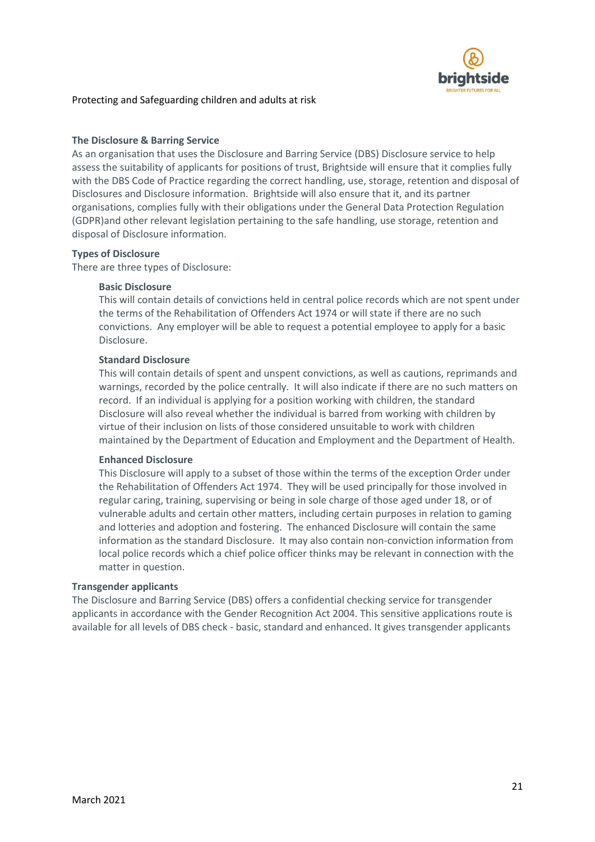

#### **The Disclosure & Barring Service**

As an organisation that uses the Disclosure and Barring Service (DBS) Disclosure service to help assess the suitability of applicants for positions of trust, Brightside will ensure that it complies fully with the DBS Code of Practice regarding the correct handling, use, storage, retention and disposal of Disclosures and Disclosure information. Brightside will also ensure that it, and its partner organisations, complies fully with their obligations under the General Data Protection Regulation (GDPR)and other relevant legislation pertaining to the safe handling, use storage, retention and disposal of Disclosure information.

#### **Types of Disclosure**

There are three types of Disclosure:

#### **Basic Disclosure**

This will contain details of convictions held in central police records which are not spent under the terms of the Rehabilitation of Offenders Act 1974 or will state if there are no such convictions. Any employer will be able to request a potential employee to apply for a basic Disclosure.

#### **Standard Disclosure**

This will contain details of spent and unspent convictions, as well as cautions, reprimands and warnings, recorded by the police centrally. It will also indicate if there are no such matters on record. If an individual is applying for a position working with children, the standard Disclosure will also reveal whether the individual is barred from working with children by virtue of their inclusion on lists of those considered unsuitable to work with children maintained by the Department of Education and Employment and the Department of Health.

#### **Enhanced Disclosure**

This Disclosure will apply to a subset of those within the terms of the exception Order under the Rehabilitation of Offenders Act 1974. They will be used principally for those involved in regular caring, training, supervising or being in sole charge of those aged under 18, or of vulnerable adults and certain other matters, including certain purposes in relation to gaming and lotteries and adoption and fostering. The enhanced Disclosure will contain the same information as the standard Disclosure. It may also contain non-conviction information from local police records which a chief police officer thinks may be relevant in connection with the matter in question.

#### **Transgender applicants**

The Disclosure and Barring Service (DBS) offers a confidential checking service for transgender applicants in accordance with the Gender Recognition Act 2004. This sensitive applications route is available for all levels of DBS check - basic, standard and enhanced. It gives transgender applicants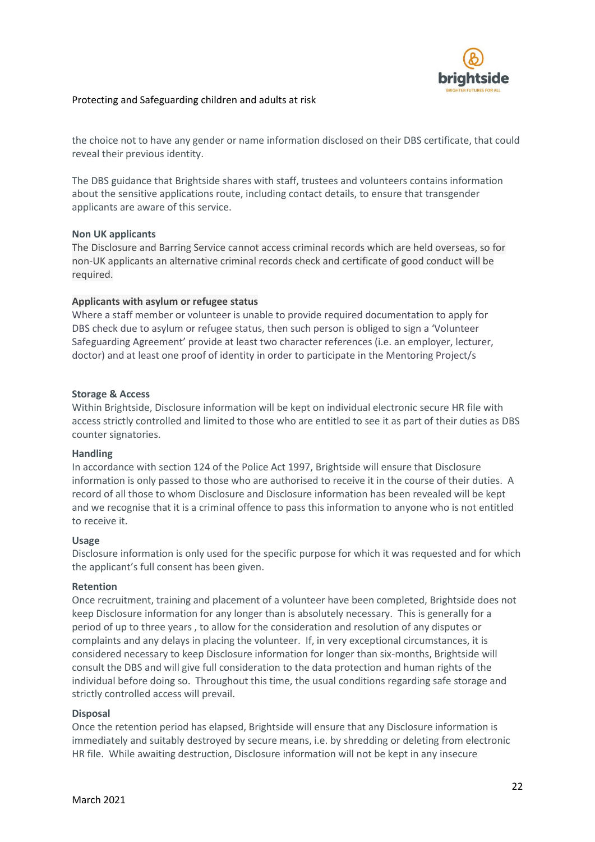

the choice not to have any gender or name information disclosed on their DBS certificate, that could reveal their previous identity.

The DBS guidance that Brightside shares with staff, trustees and volunteers contains information about the sensitive applications route, including contact details, to ensure that transgender applicants are aware of this service.

#### **Non UK applicants**

The Disclosure and Barring Service cannot access criminal records which are held overseas, so for non-UK applicants an alternative criminal records check and certificate of good conduct will be required.

#### **Applicants with asylum or refugee status**

Where a staff member or volunteer is unable to provide required documentation to apply for DBS check due to asylum or refugee status, then such person is obliged to sign a 'Volunteer Safeguarding Agreement' provide at least two character references (i.e. an employer, lecturer, doctor) and at least one proof of identity in order to participate in the Mentoring Project/s

#### **Storage & Access**

Within Brightside, Disclosure information will be kept on individual electronic secure HR file with access strictly controlled and limited to those who are entitled to see it as part of their duties as DBS counter signatories.

#### **Handling**

In accordance with section 124 of the Police Act 1997, Brightside will ensure that Disclosure information is only passed to those who are authorised to receive it in the course of their duties. A record of all those to whom Disclosure and Disclosure information has been revealed will be kept and we recognise that it is a criminal offence to pass this information to anyone who is not entitled to receive it.

#### **Usage**

Disclosure information is only used for the specific purpose for which it was requested and for which the applicant's full consent has been given.

#### **Retention**

Once recruitment, training and placement of a volunteer have been completed, Brightside does not keep Disclosure information for any longer than is absolutely necessary. This is generally for a period of up to three years , to allow for the consideration and resolution of any disputes or complaints and any delays in placing the volunteer. If, in very exceptional circumstances, it is considered necessary to keep Disclosure information for longer than six-months, Brightside will consult the DBS and will give full consideration to the data protection and human rights of the individual before doing so. Throughout this time, the usual conditions regarding safe storage and strictly controlled access will prevail.

#### **Disposal**

Once the retention period has elapsed, Brightside will ensure that any Disclosure information is immediately and suitably destroyed by secure means, i.e. by shredding or deleting from electronic HR file. While awaiting destruction, Disclosure information will not be kept in any insecure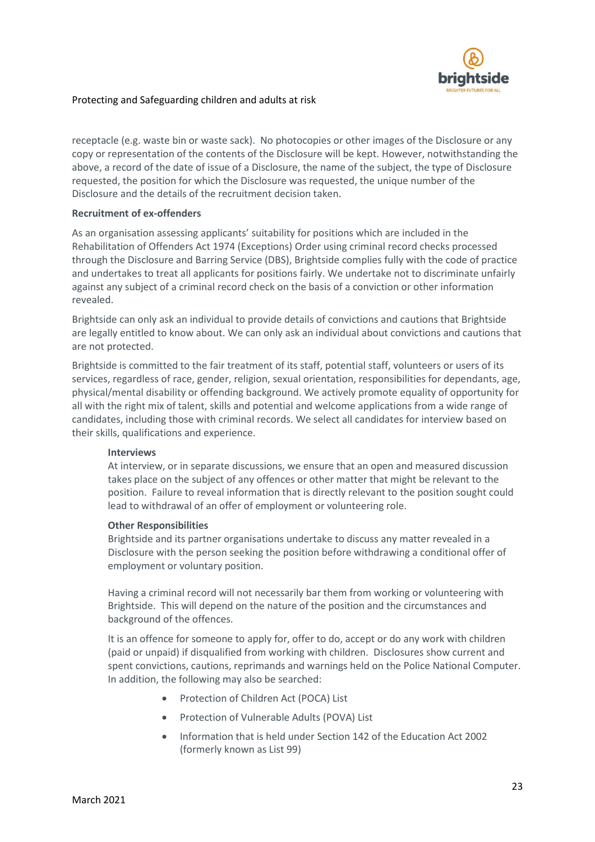

receptacle (e.g. waste bin or waste sack). No photocopies or other images of the Disclosure or any copy or representation of the contents of the Disclosure will be kept. However, notwithstanding the above, a record of the date of issue of a Disclosure, the name of the subject, the type of Disclosure requested, the position for which the Disclosure was requested, the unique number of the Disclosure and the details of the recruitment decision taken.

#### **Recruitment of ex-offenders**

As an organisation assessing applicants' suitability for positions which are included in the Rehabilitation of Offenders Act 1974 (Exceptions) Order using criminal record checks processed through the Disclosure and Barring Service (DBS), Brightside complies fully with the code of practice and undertakes to treat all applicants for positions fairly. We undertake not to discriminate unfairly against any subject of a criminal record check on the basis of a conviction or other information revealed.

Brightside can only ask an individual to provide details of convictions and cautions that Brightside are legally entitled to know about. We can only ask an individual about convictions and cautions that are not protected.

Brightside is committed to the fair treatment of its staff, potential staff, volunteers or users of its services, regardless of race, gender, religion, sexual orientation, responsibilities for dependants, age, physical/mental disability or offending background. We actively promote equality of opportunity for all with the right mix of talent, skills and potential and welcome applications from a wide range of candidates, including those with criminal records. We select all candidates for interview based on their skills, qualifications and experience.

#### **Interviews**

At interview, or in separate discussions, we ensure that an open and measured discussion takes place on the subject of any offences or other matter that might be relevant to the position. Failure to reveal information that is directly relevant to the position sought could lead to withdrawal of an offer of employment or volunteering role.

#### **Other Responsibilities**

Brightside and its partner organisations undertake to discuss any matter revealed in a Disclosure with the person seeking the position before withdrawing a conditional offer of employment or voluntary position.

Having a criminal record will not necessarily bar them from working or volunteering with Brightside. This will depend on the nature of the position and the circumstances and background of the offences.

It is an offence for someone to apply for, offer to do, accept or do any work with children (paid or unpaid) if disqualified from working with children. Disclosures show current and spent convictions, cautions, reprimands and warnings held on the Police National Computer. In addition, the following may also be searched:

- Protection of Children Act (POCA) List
- Protection of Vulnerable Adults (POVA) List
- Information that is held under Section 142 of the Education Act 2002 (formerly known as List 99)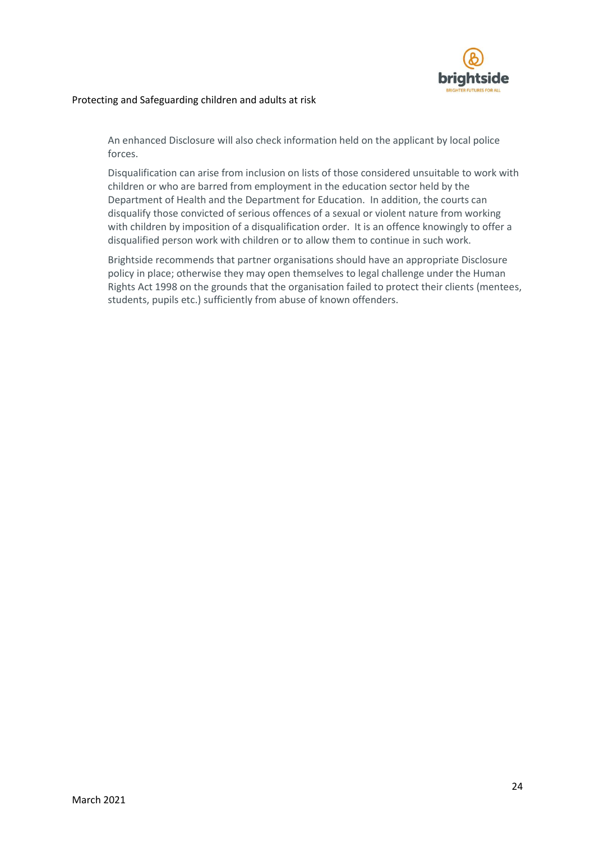

An enhanced Disclosure will also check information held on the applicant by local police forces.

Disqualification can arise from inclusion on lists of those considered unsuitable to work with children or who are barred from employment in the education sector held by the Department of Health and the Department for Education. In addition, the courts can disqualify those convicted of serious offences of a sexual or violent nature from working with children by imposition of a disqualification order. It is an offence knowingly to offer a disqualified person work with children or to allow them to continue in such work.

Brightside recommends that partner organisations should have an appropriate Disclosure policy in place; otherwise they may open themselves to legal challenge under the Human Rights Act 1998 on the grounds that the organisation failed to protect their clients (mentees, students, pupils etc.) sufficiently from abuse of known offenders.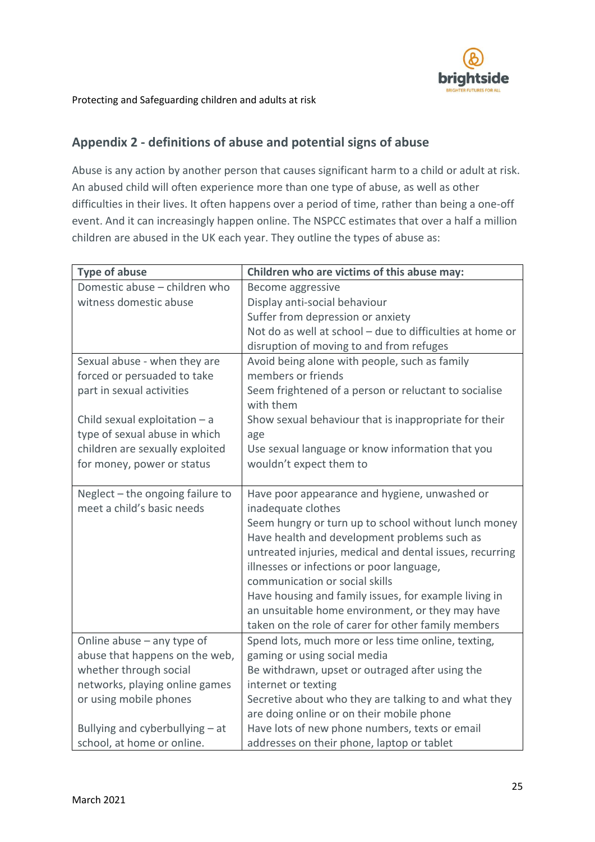

# **Appendix 2 - definitions of abuse and potential signs of abuse**

Abuse is any action by another person that causes significant harm to a child or adult at risk. An abused child will often experience more than one type of abuse, as well as other difficulties in their lives. It often happens over a period of time, rather than being a one-off event. And it can increasingly happen online. The NSPCC estimates that over a half a million children are abused in the UK each year. They outline the types of abuse as:

| <b>Type of abuse</b>             | Children who are victims of this abuse may:               |
|----------------------------------|-----------------------------------------------------------|
| Domestic abuse - children who    | Become aggressive                                         |
| witness domestic abuse           | Display anti-social behaviour                             |
|                                  | Suffer from depression or anxiety                         |
|                                  | Not do as well at school - due to difficulties at home or |
|                                  | disruption of moving to and from refuges                  |
| Sexual abuse - when they are     | Avoid being alone with people, such as family             |
| forced or persuaded to take      | members or friends                                        |
| part in sexual activities        | Seem frightened of a person or reluctant to socialise     |
|                                  | with them                                                 |
| Child sexual exploitation $-$ a  | Show sexual behaviour that is inappropriate for their     |
| type of sexual abuse in which    | age                                                       |
| children are sexually exploited  | Use sexual language or know information that you          |
| for money, power or status       | wouldn't expect them to                                   |
|                                  |                                                           |
| Neglect - the ongoing failure to | Have poor appearance and hygiene, unwashed or             |
| meet a child's basic needs       | inadequate clothes                                        |
|                                  | Seem hungry or turn up to school without lunch money      |
|                                  | Have health and development problems such as              |
|                                  | untreated injuries, medical and dental issues, recurring  |
|                                  | illnesses or infections or poor language,                 |
|                                  | communication or social skills                            |
|                                  | Have housing and family issues, for example living in     |
|                                  | an unsuitable home environment, or they may have          |
|                                  | taken on the role of carer for other family members       |
| Online abuse - any type of       | Spend lots, much more or less time online, texting,       |
| abuse that happens on the web,   | gaming or using social media                              |
| whether through social           | Be withdrawn, upset or outraged after using the           |
| networks, playing online games   | internet or texting                                       |
| or using mobile phones           | Secretive about who they are talking to and what they     |
|                                  | are doing online or on their mobile phone                 |
| Bullying and cyberbullying - at  | Have lots of new phone numbers, texts or email            |
| school, at home or online.       | addresses on their phone, laptop or tablet                |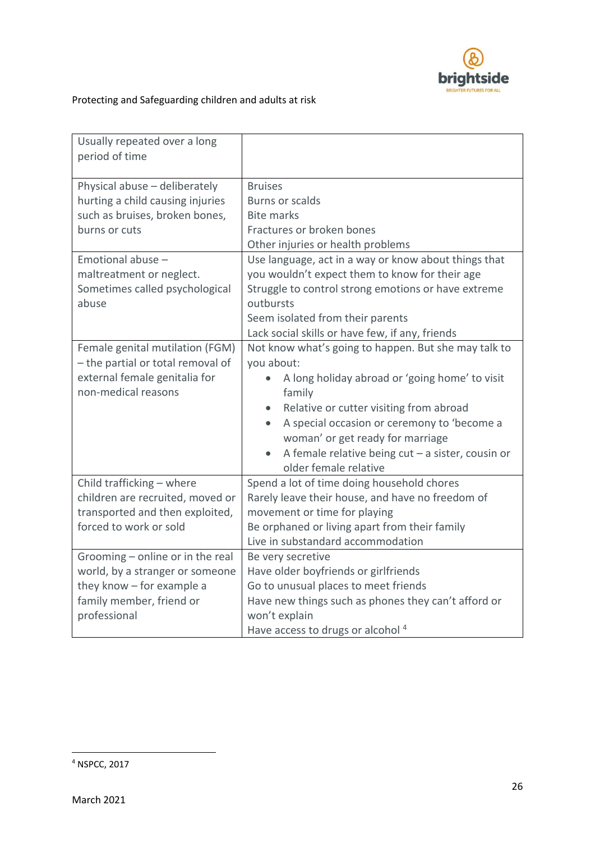

| Usually repeated over a long<br>period of time                                                                                                            |                                                                                                                                                                                                                                                                                                                                                                                            |  |  |
|-----------------------------------------------------------------------------------------------------------------------------------------------------------|--------------------------------------------------------------------------------------------------------------------------------------------------------------------------------------------------------------------------------------------------------------------------------------------------------------------------------------------------------------------------------------------|--|--|
| Physical abuse - deliberately                                                                                                                             | <b>Bruises</b>                                                                                                                                                                                                                                                                                                                                                                             |  |  |
| hurting a child causing injuries                                                                                                                          | <b>Burns or scalds</b>                                                                                                                                                                                                                                                                                                                                                                     |  |  |
| such as bruises, broken bones,                                                                                                                            | <b>Bite marks</b>                                                                                                                                                                                                                                                                                                                                                                          |  |  |
| burns or cuts                                                                                                                                             | Fractures or broken bones                                                                                                                                                                                                                                                                                                                                                                  |  |  |
|                                                                                                                                                           | Other injuries or health problems                                                                                                                                                                                                                                                                                                                                                          |  |  |
| Emotional abuse -                                                                                                                                         | Use language, act in a way or know about things that                                                                                                                                                                                                                                                                                                                                       |  |  |
| maltreatment or neglect.                                                                                                                                  | you wouldn't expect them to know for their age                                                                                                                                                                                                                                                                                                                                             |  |  |
| Sometimes called psychological                                                                                                                            | Struggle to control strong emotions or have extreme                                                                                                                                                                                                                                                                                                                                        |  |  |
| abuse                                                                                                                                                     | outbursts                                                                                                                                                                                                                                                                                                                                                                                  |  |  |
|                                                                                                                                                           | Seem isolated from their parents                                                                                                                                                                                                                                                                                                                                                           |  |  |
|                                                                                                                                                           | Lack social skills or have few, if any, friends                                                                                                                                                                                                                                                                                                                                            |  |  |
| Female genital mutilation (FGM)<br>- the partial or total removal of<br>external female genitalia for<br>non-medical reasons<br>Child trafficking - where | Not know what's going to happen. But she may talk to<br>you about:<br>A long holiday abroad or 'going home' to visit<br>family<br>Relative or cutter visiting from abroad<br>A special occasion or ceremony to 'become a<br>woman' or get ready for marriage<br>A female relative being $cut - a$ sister, cousin or<br>older female relative<br>Spend a lot of time doing household chores |  |  |
| children are recruited, moved or                                                                                                                          | Rarely leave their house, and have no freedom of                                                                                                                                                                                                                                                                                                                                           |  |  |
| transported and then exploited,                                                                                                                           | movement or time for playing                                                                                                                                                                                                                                                                                                                                                               |  |  |
| forced to work or sold                                                                                                                                    | Be orphaned or living apart from their family                                                                                                                                                                                                                                                                                                                                              |  |  |
|                                                                                                                                                           | Live in substandard accommodation                                                                                                                                                                                                                                                                                                                                                          |  |  |
| Grooming - online or in the real                                                                                                                          | Be very secretive                                                                                                                                                                                                                                                                                                                                                                          |  |  |
| world, by a stranger or someone                                                                                                                           | Have older boyfriends or girlfriends                                                                                                                                                                                                                                                                                                                                                       |  |  |
| they know - for example a                                                                                                                                 | Go to unusual places to meet friends                                                                                                                                                                                                                                                                                                                                                       |  |  |
| family member, friend or                                                                                                                                  | Have new things such as phones they can't afford or                                                                                                                                                                                                                                                                                                                                        |  |  |
| professional                                                                                                                                              | won't explain                                                                                                                                                                                                                                                                                                                                                                              |  |  |
|                                                                                                                                                           | Have access to drugs or alcohol <sup>4</sup>                                                                                                                                                                                                                                                                                                                                               |  |  |

**.**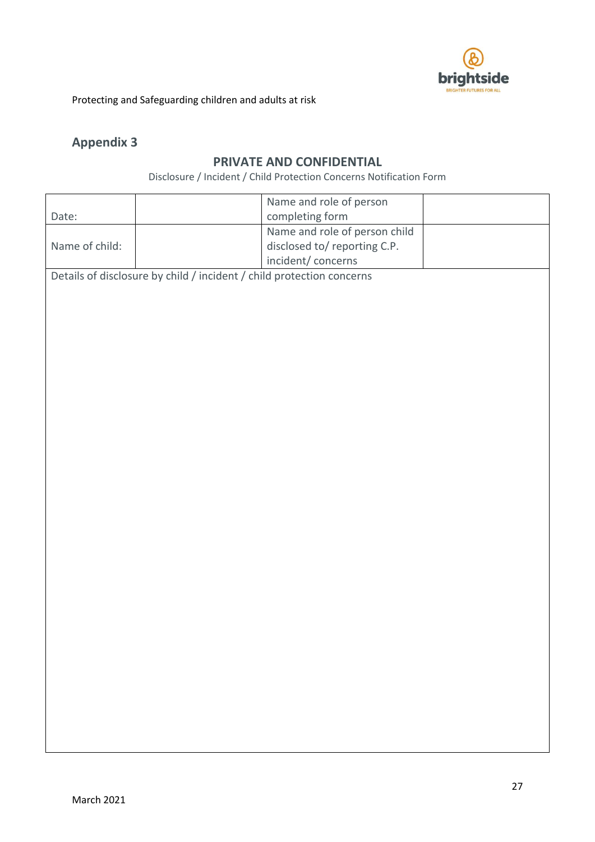

# **Appendix 3**

# **PRIVATE AND CONFIDENTIAL**

Disclosure / Incident / Child Protection Concerns Notification Form

|                |                                                                       | Name and role of person       |  |  |  |  |
|----------------|-----------------------------------------------------------------------|-------------------------------|--|--|--|--|
| Date:          |                                                                       | completing form               |  |  |  |  |
|                |                                                                       | Name and role of person child |  |  |  |  |
| Name of child: |                                                                       | disclosed to/reporting C.P.   |  |  |  |  |
|                |                                                                       | incident/concerns             |  |  |  |  |
|                | Details of disclosure by child / incident / child protection concerns |                               |  |  |  |  |
|                |                                                                       |                               |  |  |  |  |
|                |                                                                       |                               |  |  |  |  |
|                |                                                                       |                               |  |  |  |  |
|                |                                                                       |                               |  |  |  |  |
|                |                                                                       |                               |  |  |  |  |
|                |                                                                       |                               |  |  |  |  |
|                |                                                                       |                               |  |  |  |  |
|                |                                                                       |                               |  |  |  |  |
|                |                                                                       |                               |  |  |  |  |
|                |                                                                       |                               |  |  |  |  |
|                |                                                                       |                               |  |  |  |  |
|                |                                                                       |                               |  |  |  |  |
|                |                                                                       |                               |  |  |  |  |
|                |                                                                       |                               |  |  |  |  |
|                |                                                                       |                               |  |  |  |  |
|                |                                                                       |                               |  |  |  |  |
|                |                                                                       |                               |  |  |  |  |
|                |                                                                       |                               |  |  |  |  |
|                |                                                                       |                               |  |  |  |  |
|                |                                                                       |                               |  |  |  |  |
|                |                                                                       |                               |  |  |  |  |
|                |                                                                       |                               |  |  |  |  |
|                |                                                                       |                               |  |  |  |  |
|                |                                                                       |                               |  |  |  |  |
|                |                                                                       |                               |  |  |  |  |
|                |                                                                       |                               |  |  |  |  |
|                |                                                                       |                               |  |  |  |  |
|                |                                                                       |                               |  |  |  |  |
|                |                                                                       |                               |  |  |  |  |
|                |                                                                       |                               |  |  |  |  |
|                |                                                                       |                               |  |  |  |  |
|                |                                                                       |                               |  |  |  |  |
|                |                                                                       |                               |  |  |  |  |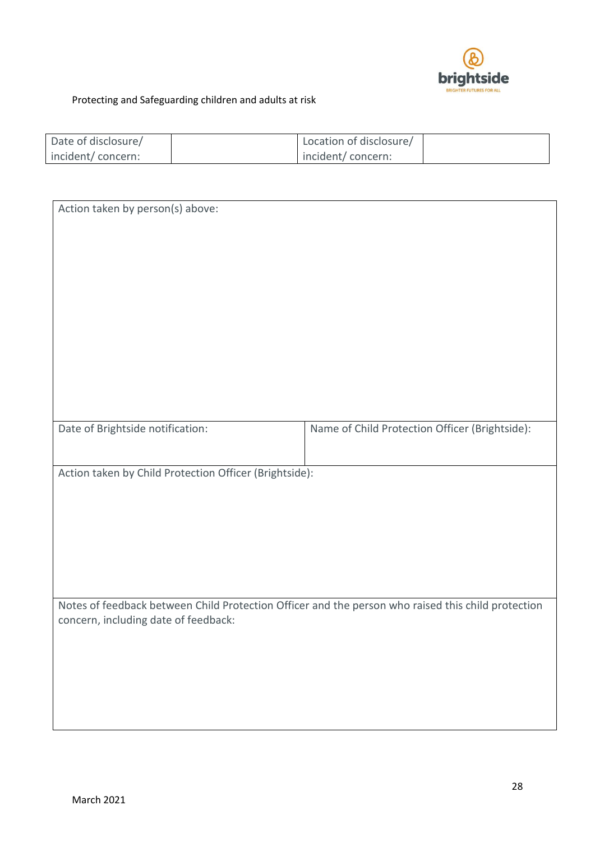

| Date of disclosure/ | Location of disclosure/ |  |
|---------------------|-------------------------|--|
| incident/concern:   | incident/concern:       |  |

| Action taken by person(s) above:                                                                   |                                                |  |  |
|----------------------------------------------------------------------------------------------------|------------------------------------------------|--|--|
|                                                                                                    |                                                |  |  |
|                                                                                                    |                                                |  |  |
|                                                                                                    |                                                |  |  |
|                                                                                                    |                                                |  |  |
|                                                                                                    |                                                |  |  |
|                                                                                                    |                                                |  |  |
|                                                                                                    |                                                |  |  |
|                                                                                                    |                                                |  |  |
|                                                                                                    |                                                |  |  |
|                                                                                                    |                                                |  |  |
|                                                                                                    |                                                |  |  |
|                                                                                                    |                                                |  |  |
|                                                                                                    |                                                |  |  |
|                                                                                                    |                                                |  |  |
|                                                                                                    |                                                |  |  |
|                                                                                                    |                                                |  |  |
|                                                                                                    |                                                |  |  |
|                                                                                                    |                                                |  |  |
| Date of Brightside notification:                                                                   | Name of Child Protection Officer (Brightside): |  |  |
|                                                                                                    |                                                |  |  |
|                                                                                                    |                                                |  |  |
|                                                                                                    |                                                |  |  |
| Action taken by Child Protection Officer (Brightside):                                             |                                                |  |  |
|                                                                                                    |                                                |  |  |
|                                                                                                    |                                                |  |  |
|                                                                                                    |                                                |  |  |
|                                                                                                    |                                                |  |  |
|                                                                                                    |                                                |  |  |
|                                                                                                    |                                                |  |  |
|                                                                                                    |                                                |  |  |
|                                                                                                    |                                                |  |  |
|                                                                                                    |                                                |  |  |
|                                                                                                    |                                                |  |  |
|                                                                                                    |                                                |  |  |
| Notes of feedback between Child Protection Officer and the person who raised this child protection |                                                |  |  |
|                                                                                                    |                                                |  |  |
| concern, including date of feedback:                                                               |                                                |  |  |
|                                                                                                    |                                                |  |  |
|                                                                                                    |                                                |  |  |
|                                                                                                    |                                                |  |  |
|                                                                                                    |                                                |  |  |
|                                                                                                    |                                                |  |  |
|                                                                                                    |                                                |  |  |
|                                                                                                    |                                                |  |  |